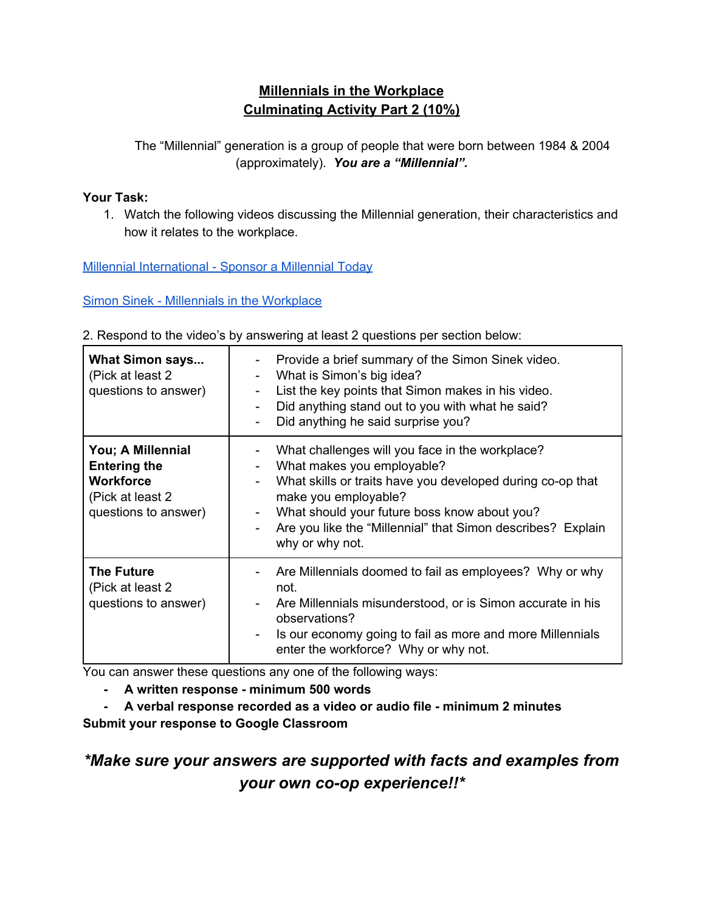### **Millennials in the Workplace Culminating Activity Part 2 (10%)**

The "Millennial" generation is a group of people that were born between 1984 & 2004 (approximately). *You are a "Millennial".*

#### **Your Task:**

1. Watch the following videos discussing the Millennial generation, their characteristics and how it relates to the workplace.

Millennial [International](https://www.youtube.com/watch?v=RGvrmltfMrA) - Sponsor a Millennial Today

Simon Sinek - Millennials in the [Workplace](https://www.youtube.com/watch?v=hER0Qp6QJNU)

|  |  |  | 2. Respond to the video's by answering at least 2 questions per section below: |
|--|--|--|--------------------------------------------------------------------------------|
|  |  |  |                                                                                |

| <b>What Simon says</b><br>(Pick at least 2)<br>questions to answer)                                       | Provide a brief summary of the Simon Sinek video.<br>Ξ.<br>What is Simon's big idea?<br>$\overline{\phantom{0}}$<br>List the key points that Simon makes in his video.<br>$\overline{\phantom{0}}$<br>Did anything stand out to you with what he said?<br>۰<br>Did anything he said surprise you?                                           |
|-----------------------------------------------------------------------------------------------------------|---------------------------------------------------------------------------------------------------------------------------------------------------------------------------------------------------------------------------------------------------------------------------------------------------------------------------------------------|
| You; A Millennial<br><b>Entering the</b><br><b>Workforce</b><br>(Pick at least 2)<br>questions to answer) | What challenges will you face in the workplace?<br>What makes you employable?<br>-<br>What skills or traits have you developed during co-op that<br>$\overline{\phantom{0}}$<br>make you employable?<br>What should your future boss know about you?<br>-<br>Are you like the "Millennial" that Simon describes? Explain<br>why or why not. |
| <b>The Future</b><br>(Pick at least 2)<br>questions to answer)                                            | Are Millennials doomed to fail as employees? Why or why<br>not.<br>Are Millennials misunderstood, or is Simon accurate in his<br>observations?<br>Is our economy going to fail as more and more Millennials<br>Ξ.<br>enter the workforce? Why or why not.                                                                                   |

You can answer these questions any one of the following ways:

- **- A written response - minimum 500 words**
- **- A verbal response recorded as a video or audio file - minimum 2 minutes Submit your response to Google Classroom**

*\*Make sure your answers are supported with facts and examples from your own co-op experience!!\**